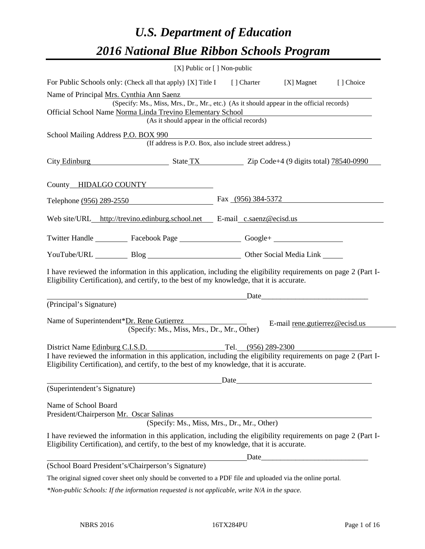# *U.S. Department of Education 2016 National Blue Ribbon Schools Program*

| $[X]$ Public or $[ ]$ Non-public                                                                                                                                                                                                                    |                      |                                                                                                                                                                                                                                |           |
|-----------------------------------------------------------------------------------------------------------------------------------------------------------------------------------------------------------------------------------------------------|----------------------|--------------------------------------------------------------------------------------------------------------------------------------------------------------------------------------------------------------------------------|-----------|
| For Public Schools only: (Check all that apply) [X] Title I [] Charter [X] Magnet                                                                                                                                                                   |                      |                                                                                                                                                                                                                                | [] Choice |
| Name of Principal Mrs. Cynthia Ann Saenz<br>(Specify: Ms., Miss, Mrs., Dr., Mr., etc.) (As it should appear in the official records)<br>Official School Name Norma Linda Trevino Elementary School<br>(As it should appear in the official records) |                      |                                                                                                                                                                                                                                |           |
| School Mailing Address P.O. BOX 990<br>(If address is P.O. Box, also include street address.)                                                                                                                                                       |                      |                                                                                                                                                                                                                                |           |
| City Edinburg State TX State TX Zip Code+4 (9 digits total) 78540-0990                                                                                                                                                                              |                      |                                                                                                                                                                                                                                |           |
| County HIDALGO COUNTY                                                                                                                                                                                                                               |                      |                                                                                                                                                                                                                                |           |
| Telephone (956) 289-2550                                                                                                                                                                                                                            | Fax $(956)$ 384-5372 |                                                                                                                                                                                                                                |           |
| Web site/URL_http://trevino.edinburg.school.net __ E-mail_c.saenz@ecisd.us                                                                                                                                                                          |                      |                                                                                                                                                                                                                                |           |
| Twitter Handle ____________ Facebook Page _____________________ Google+ ____________________________                                                                                                                                                |                      |                                                                                                                                                                                                                                |           |
| YouTube/URL Blog Blog Cher Social Media Link                                                                                                                                                                                                        |                      |                                                                                                                                                                                                                                |           |
| I have reviewed the information in this application, including the eligibility requirements on page 2 (Part I-<br>Eligibility Certification), and certify, to the best of my knowledge, that it is accurate.                                        |                      |                                                                                                                                                                                                                                |           |
| (Principal's Signature)                                                                                                                                                                                                                             |                      | Date and the contract of the contract of the contract of the contract of the contract of the contract of the contract of the contract of the contract of the contract of the contract of the contract of the contract of the c |           |
| Name of Superintendent*Dr. Rene Gutierrez<br>(Specify: Ms., Miss, Mrs., Dr., Mr., Other)                                                                                                                                                            |                      | E-mail rene.gutierrez@ecisd.us                                                                                                                                                                                                 |           |
| District Name Edinburg C.I.S.D.<br>I have reviewed the information in this application, including the eligibility requirements on page 2 (Part I-<br>Eligibility Certification), and certify, to the best of my knowledge, that it is accurate.     | Tel. (956) 289-2300  |                                                                                                                                                                                                                                |           |
| (Superintendent's Signature)                                                                                                                                                                                                                        |                      | Date                                                                                                                                                                                                                           |           |
| Name of School Board<br>President/Chairperson Mr. Oscar Salinas<br>(Specify: Ms., Miss, Mrs., Dr., Mr., Other)                                                                                                                                      |                      |                                                                                                                                                                                                                                |           |
| I have reviewed the information in this application, including the eligibility requirements on page 2 (Part I-<br>Eligibility Certification), and certify, to the best of my knowledge, that it is accurate.                                        |                      |                                                                                                                                                                                                                                |           |
|                                                                                                                                                                                                                                                     |                      |                                                                                                                                                                                                                                |           |
| (School Board President's/Chairperson's Signature)                                                                                                                                                                                                  |                      |                                                                                                                                                                                                                                |           |
| The original signed cover sheet only should be converted to a PDF file and uploaded via the online portal.                                                                                                                                          |                      |                                                                                                                                                                                                                                |           |

*\*Non-public Schools: If the information requested is not applicable, write N/A in the space.*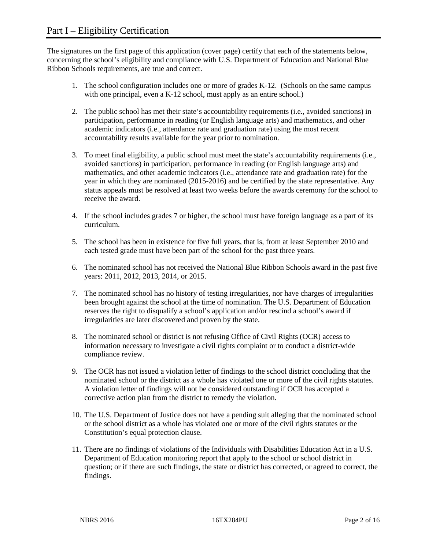The signatures on the first page of this application (cover page) certify that each of the statements below, concerning the school's eligibility and compliance with U.S. Department of Education and National Blue Ribbon Schools requirements, are true and correct.

- 1. The school configuration includes one or more of grades K-12. (Schools on the same campus with one principal, even a K-12 school, must apply as an entire school.)
- 2. The public school has met their state's accountability requirements (i.e., avoided sanctions) in participation, performance in reading (or English language arts) and mathematics, and other academic indicators (i.e., attendance rate and graduation rate) using the most recent accountability results available for the year prior to nomination.
- 3. To meet final eligibility, a public school must meet the state's accountability requirements (i.e., avoided sanctions) in participation, performance in reading (or English language arts) and mathematics, and other academic indicators (i.e., attendance rate and graduation rate) for the year in which they are nominated (2015-2016) and be certified by the state representative. Any status appeals must be resolved at least two weeks before the awards ceremony for the school to receive the award.
- 4. If the school includes grades 7 or higher, the school must have foreign language as a part of its curriculum.
- 5. The school has been in existence for five full years, that is, from at least September 2010 and each tested grade must have been part of the school for the past three years.
- 6. The nominated school has not received the National Blue Ribbon Schools award in the past five years: 2011, 2012, 2013, 2014, or 2015.
- 7. The nominated school has no history of testing irregularities, nor have charges of irregularities been brought against the school at the time of nomination. The U.S. Department of Education reserves the right to disqualify a school's application and/or rescind a school's award if irregularities are later discovered and proven by the state.
- 8. The nominated school or district is not refusing Office of Civil Rights (OCR) access to information necessary to investigate a civil rights complaint or to conduct a district-wide compliance review.
- 9. The OCR has not issued a violation letter of findings to the school district concluding that the nominated school or the district as a whole has violated one or more of the civil rights statutes. A violation letter of findings will not be considered outstanding if OCR has accepted a corrective action plan from the district to remedy the violation.
- 10. The U.S. Department of Justice does not have a pending suit alleging that the nominated school or the school district as a whole has violated one or more of the civil rights statutes or the Constitution's equal protection clause.
- 11. There are no findings of violations of the Individuals with Disabilities Education Act in a U.S. Department of Education monitoring report that apply to the school or school district in question; or if there are such findings, the state or district has corrected, or agreed to correct, the findings.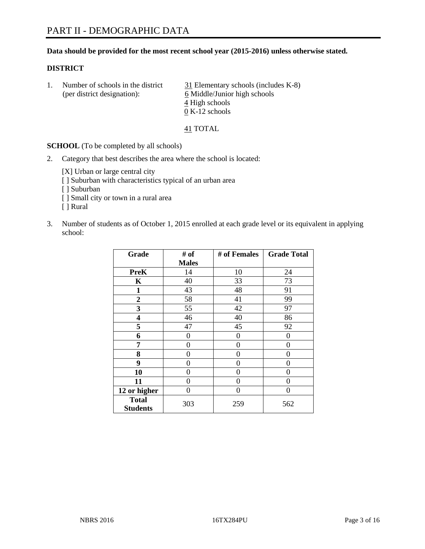# **Data should be provided for the most recent school year (2015-2016) unless otherwise stated.**

# **DISTRICT**

| Number of schools in the district | 31 Elementary schools (includes K-8) |
|-----------------------------------|--------------------------------------|
| (per district designation):       | 6 Middle/Junior high schools         |
|                                   | 4 High schools                       |
|                                   | $0 K-12$ schools                     |

41 TOTAL

**SCHOOL** (To be completed by all schools)

2. Category that best describes the area where the school is located:

[X] Urban or large central city [ ] Suburban with characteristics typical of an urban area [ ] Suburban [ ] Small city or town in a rural area [ ] Rural

3. Number of students as of October 1, 2015 enrolled at each grade level or its equivalent in applying school:

| Grade           | # of         | # of Females | <b>Grade Total</b> |
|-----------------|--------------|--------------|--------------------|
|                 | <b>Males</b> |              |                    |
| <b>PreK</b>     | 14           | 10           | 24                 |
| $\mathbf K$     | 40           | 33           | 73                 |
| 1               | 43           | 48           | 91                 |
| 2               | 58           | 41           | 99                 |
| 3               | 55           | 42           | 97                 |
| 4               | 46           | 40           | 86                 |
| 5               | 47           | 45           | 92                 |
| 6               | 0            | 0            | $\theta$           |
| 7               | 0            | 0            | 0                  |
| 8               | 0            | 0            | 0                  |
| 9               | 0            | 0            | $\theta$           |
| 10              | 0            | 0            | $\theta$           |
| 11              | 0            | 0            | $\Omega$           |
| 12 or higher    | 0            | 0            | $\theta$           |
| <b>Total</b>    | 303          | 259          | 562                |
| <b>Students</b> |              |              |                    |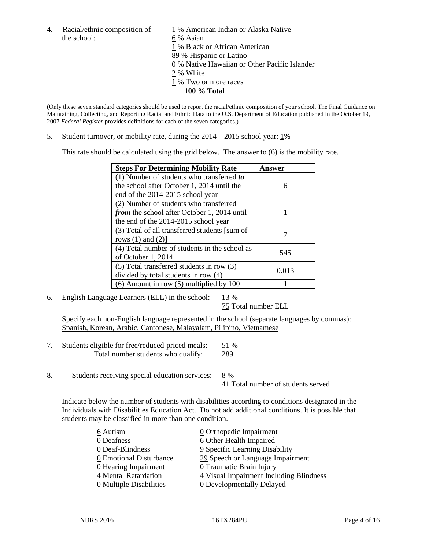the school: 6 % Asian

4. Racial/ethnic composition of  $1\%$  American Indian or Alaska Native 1 % Black or African American 89 % Hispanic or Latino 0 % Native Hawaiian or Other Pacific Islander  $2%$  White 1 % Two or more races **100 % Total**

(Only these seven standard categories should be used to report the racial/ethnic composition of your school. The Final Guidance on Maintaining, Collecting, and Reporting Racial and Ethnic Data to the U.S. Department of Education published in the October 19, 2007 *Federal Register* provides definitions for each of the seven categories.)

5. Student turnover, or mobility rate, during the  $2014 - 2015$  school year:  $1\%$ 

This rate should be calculated using the grid below. The answer to (6) is the mobility rate.

| <b>Steps For Determining Mobility Rate</b>         | Answer |  |
|----------------------------------------------------|--------|--|
| (1) Number of students who transferred to          |        |  |
| the school after October 1, 2014 until the         | 6      |  |
| end of the 2014-2015 school year                   |        |  |
| (2) Number of students who transferred             |        |  |
| <i>from</i> the school after October 1, 2014 until |        |  |
| the end of the 2014-2015 school year               |        |  |
| (3) Total of all transferred students [sum of      |        |  |
| rows $(1)$ and $(2)$ ]                             |        |  |
| (4) Total number of students in the school as      | 545    |  |
| of October 1, 2014                                 |        |  |
| $(5)$ Total transferred students in row $(3)$      | 0.013  |  |
| divided by total students in row (4)               |        |  |
| $(6)$ Amount in row $(5)$ multiplied by 100        |        |  |

6. English Language Learners (ELL) in the school:  $13\%$ 

75 Total number ELL

Specify each non-English language represented in the school (separate languages by commas): Spanish, Korean, Arabic, Cantonese, Malayalam, Pilipino, Vietnamese

- 7. Students eligible for free/reduced-priced meals: 51 % Total number students who qualify: 289
- 8. Students receiving special education services: 8 %

41 Total number of students served

Indicate below the number of students with disabilities according to conditions designated in the Individuals with Disabilities Education Act. Do not add additional conditions. It is possible that students may be classified in more than one condition.

| 6 Autism                              | 0 Orthopedic Impairment                 |
|---------------------------------------|-----------------------------------------|
| 0 Deafness                            | 6 Other Health Impaired                 |
| 0 Deaf-Blindness                      | 9 Specific Learning Disability          |
| 0 Emotional Disturbance               | 29 Speech or Language Impairment        |
| 0 Hearing Impairment                  | 0 Traumatic Brain Injury                |
| 4 Mental Retardation                  | 4 Visual Impairment Including Blindness |
| $\underline{0}$ Multiple Disabilities | <b>0</b> Developmentally Delayed        |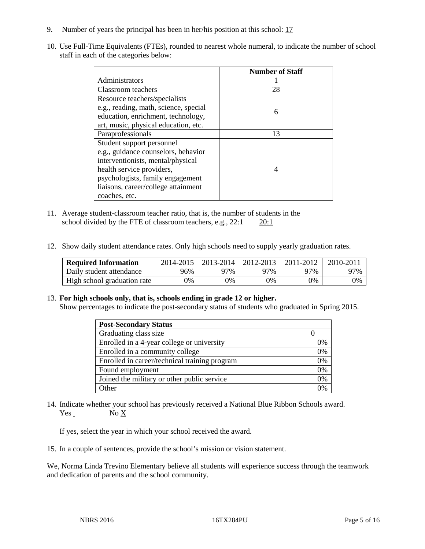- 9. Number of years the principal has been in her/his position at this school: 17
- 10. Use Full-Time Equivalents (FTEs), rounded to nearest whole numeral, to indicate the number of school staff in each of the categories below:

|                                       | <b>Number of Staff</b> |
|---------------------------------------|------------------------|
| Administrators                        |                        |
| Classroom teachers                    | 28                     |
| Resource teachers/specialists         |                        |
| e.g., reading, math, science, special | 6                      |
| education, enrichment, technology,    |                        |
| art, music, physical education, etc.  |                        |
| Paraprofessionals                     | 13                     |
| Student support personnel             |                        |
| e.g., guidance counselors, behavior   |                        |
| interventionists, mental/physical     |                        |
| health service providers,             |                        |
| psychologists, family engagement      |                        |
| liaisons, career/college attainment   |                        |
| coaches, etc.                         |                        |

- 11. Average student-classroom teacher ratio, that is, the number of students in the school divided by the FTE of classroom teachers, e.g.,  $22:1$   $20:1$
- 12. Show daily student attendance rates. Only high schools need to supply yearly graduation rates.

| <b>Required Information</b> | 2014-2015 | 2013-2014 | 2012-2013 | 2011-2012 | $2010 - 2011$ |
|-----------------------------|-----------|-----------|-----------|-----------|---------------|
| Daily student attendance    | 96%       | 97%       | 97%       | 97%       | 97%           |
| High school graduation rate | 9%        | 0%        | 0%        | 9%        | 0%            |

# 13. **For high schools only, that is, schools ending in grade 12 or higher.**

Show percentages to indicate the post-secondary status of students who graduated in Spring 2015.

| <b>Post-Secondary Status</b>                  |    |
|-----------------------------------------------|----|
| Graduating class size                         |    |
| Enrolled in a 4-year college or university    | 0% |
| Enrolled in a community college               | 0% |
| Enrolled in career/technical training program | 0% |
| Found employment                              | 0% |
| Joined the military or other public service   | 0% |
| Other                                         | 0/ |

14. Indicate whether your school has previously received a National Blue Ribbon Schools award. Yes No X

If yes, select the year in which your school received the award.

15. In a couple of sentences, provide the school's mission or vision statement.

We, Norma Linda Trevino Elementary believe all students will experience success through the teamwork and dedication of parents and the school community.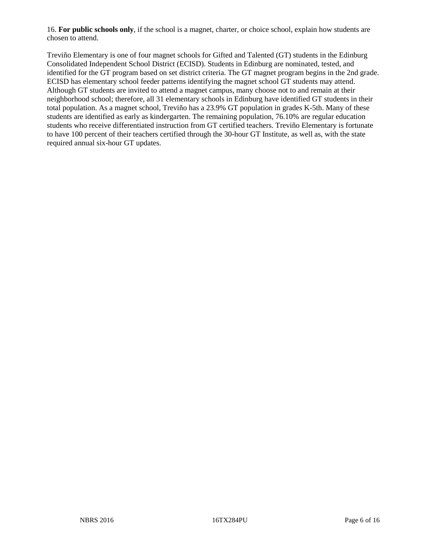16. **For public schools only**, if the school is a magnet, charter, or choice school, explain how students are chosen to attend.

Treviño Elementary is one of four magnet schools for Gifted and Talented (GT) students in the Edinburg Consolidated Independent School District (ECISD). Students in Edinburg are nominated, tested, and identified for the GT program based on set district criteria. The GT magnet program begins in the 2nd grade. ECISD has elementary school feeder patterns identifying the magnet school GT students may attend. Although GT students are invited to attend a magnet campus, many choose not to and remain at their neighborhood school; therefore, all 31 elementary schools in Edinburg have identified GT students in their total population. As a magnet school, Treviño has a 23.9% GT population in grades K-5th. Many of these students are identified as early as kindergarten. The remaining population, 76.10% are regular education students who receive differentiated instruction from GT certified teachers. Treviño Elementary is fortunate to have 100 percent of their teachers certified through the 30-hour GT Institute, as well as, with the state required annual six-hour GT updates.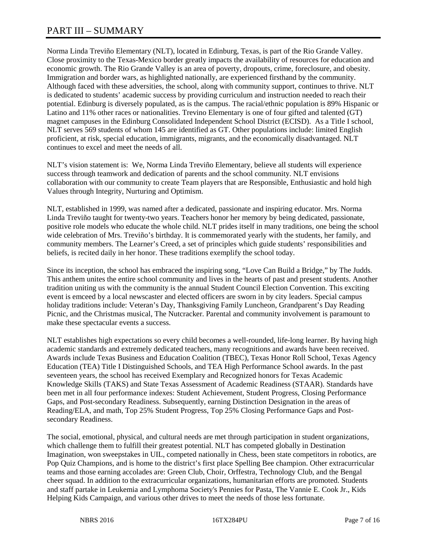# PART III – SUMMARY

Norma Linda Treviño Elementary (NLT), located in Edinburg, Texas, is part of the Rio Grande Valley. Close proximity to the Texas-Mexico border greatly impacts the availability of resources for education and economic growth. The Rio Grande Valley is an area of poverty, dropouts, crime, foreclosure, and obesity. Immigration and border wars, as highlighted nationally, are experienced firsthand by the community. Although faced with these adversities, the school, along with community support, continues to thrive. NLT is dedicated to students' academic success by providing curriculum and instruction needed to reach their potential. Edinburg is diversely populated, as is the campus. The racial/ethnic population is 89% Hispanic or Latino and 11% other races or nationalities. Trevino Elementary is one of four gifted and talented (GT) magnet campuses in the Edinburg Consolidated Independent School District (ECISD). As a Title I school, NLT serves 569 students of whom 145 are identified as GT. Other populations include: limited English proficient, at risk, special education, immigrants, migrants, and the economically disadvantaged. NLT continues to excel and meet the needs of all.

NLT's vision statement is: We, Norma Linda Treviño Elementary, believe all students will experience success through teamwork and dedication of parents and the school community. NLT envisions collaboration with our community to create Team players that are Responsible, Enthusiastic and hold high Values through Integrity, Nurturing and Optimism.

NLT, established in 1999, was named after a dedicated, passionate and inspiring educator. Mrs. Norma Linda Treviño taught for twenty-two years. Teachers honor her memory by being dedicated, passionate, positive role models who educate the whole child. NLT prides itself in many traditions, one being the school wide celebration of Mrs. Treviño's birthday. It is commemorated yearly with the students, her family, and community members. The Learner's Creed, a set of principles which guide students' responsibilities and beliefs, is recited daily in her honor. These traditions exemplify the school today.

Since its inception, the school has embraced the inspiring song, "Love Can Build a Bridge," by The Judds. This anthem unites the entire school community and lives in the hearts of past and present students. Another tradition uniting us with the community is the annual Student Council Election Convention. This exciting event is emceed by a local newscaster and elected officers are sworn in by city leaders. Special campus holiday traditions include: Veteran's Day, Thanksgiving Family Luncheon, Grandparent's Day Reading Picnic, and the Christmas musical, The Nutcracker. Parental and community involvement is paramount to make these spectacular events a success.

NLT establishes high expectations so every child becomes a well-rounded, life-long learner. By having high academic standards and extremely dedicated teachers, many recognitions and awards have been received. Awards include Texas Business and Education Coalition (TBEC), Texas Honor Roll School, Texas Agency Education (TEA) Title I Distinguished Schools, and TEA High Performance School awards. In the past seventeen years, the school has received Exemplary and Recognized honors for Texas Academic Knowledge Skills (TAKS) and State Texas Assessment of Academic Readiness (STAAR). Standards have been met in all four performance indexes: Student Achievement, Student Progress, Closing Performance Gaps, and Post-secondary Readiness. Subsequently, earning Distinction Designation in the areas of Reading/ELA, and math, Top 25% Student Progress, Top 25% Closing Performance Gaps and Postsecondary Readiness.

The social, emotional, physical, and cultural needs are met through participation in student organizations, which challenge them to fulfill their greatest potential. NLT has competed globally in Destination Imagination, won sweepstakes in UIL, competed nationally in Chess, been state competitors in robotics, are Pop Quiz Champions, and is home to the district's first place Spelling Bee champion. Other extracurricular teams and those earning accolades are: Green Club, Choir, Orffestra, Technology Club, and the Bengal cheer squad. In addition to the extracurricular organizations, humanitarian efforts are promoted. Students and staff partake in Leukemia and Lymphoma Society's Pennies for Pasta, The Vannie E. Cook Jr., Kids Helping Kids Campaign, and various other drives to meet the needs of those less fortunate.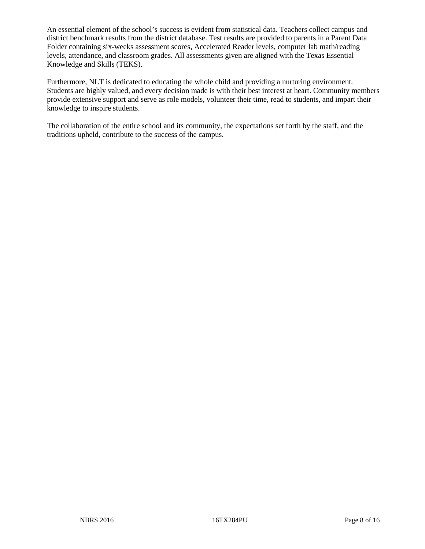An essential element of the school's success is evident from statistical data. Teachers collect campus and district benchmark results from the district database. Test results are provided to parents in a Parent Data Folder containing six-weeks assessment scores, Accelerated Reader levels, computer lab math/reading levels, attendance, and classroom grades. All assessments given are aligned with the Texas Essential Knowledge and Skills (TEKS).

Furthermore, NLT is dedicated to educating the whole child and providing a nurturing environment. Students are highly valued, and every decision made is with their best interest at heart. Community members provide extensive support and serve as role models, volunteer their time, read to students, and impart their knowledge to inspire students.

The collaboration of the entire school and its community, the expectations set forth by the staff, and the traditions upheld, contribute to the success of the campus.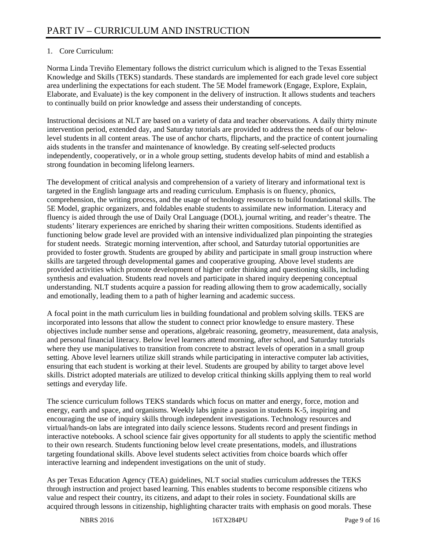# 1. Core Curriculum:

Norma Linda Treviño Elementary follows the district curriculum which is aligned to the Texas Essential Knowledge and Skills (TEKS) standards. These standards are implemented for each grade level core subject area underlining the expectations for each student. The 5E Model framework (Engage, Explore, Explain, Elaborate, and Evaluate) is the key component in the delivery of instruction. It allows students and teachers to continually build on prior knowledge and assess their understanding of concepts.

Instructional decisions at NLT are based on a variety of data and teacher observations. A daily thirty minute intervention period, extended day, and Saturday tutorials are provided to address the needs of our belowlevel students in all content areas. The use of anchor charts, flipcharts, and the practice of content journaling aids students in the transfer and maintenance of knowledge. By creating self-selected products independently, cooperatively, or in a whole group setting, students develop habits of mind and establish a strong foundation in becoming lifelong learners.

The development of critical analysis and comprehension of a variety of literary and informational text is targeted in the English language arts and reading curriculum. Emphasis is on fluency, phonics, comprehension, the writing process, and the usage of technology resources to build foundational skills. The 5E Model, graphic organizers, and foldables enable students to assimilate new information. Literacy and fluency is aided through the use of Daily Oral Language (DOL), journal writing, and reader's theatre. The students' literary experiences are enriched by sharing their written compositions. Students identified as functioning below grade level are provided with an intensive individualized plan pinpointing the strategies for student needs. Strategic morning intervention, after school, and Saturday tutorial opportunities are provided to foster growth. Students are grouped by ability and participate in small group instruction where skills are targeted through developmental games and cooperative grouping. Above level students are provided activities which promote development of higher order thinking and questioning skills, including synthesis and evaluation. Students read novels and participate in shared inquiry deepening conceptual understanding. NLT students acquire a passion for reading allowing them to grow academically, socially and emotionally, leading them to a path of higher learning and academic success.

A focal point in the math curriculum lies in building foundational and problem solving skills. TEKS are incorporated into lessons that allow the student to connect prior knowledge to ensure mastery. These objectives include number sense and operations, algebraic reasoning, geometry, measurement, data analysis, and personal financial literacy. Below level learners attend morning, after school, and Saturday tutorials where they use manipulatives to transition from concrete to abstract levels of operation in a small group setting. Above level learners utilize skill strands while participating in interactive computer lab activities, ensuring that each student is working at their level. Students are grouped by ability to target above level skills. District adopted materials are utilized to develop critical thinking skills applying them to real world settings and everyday life.

The science curriculum follows TEKS standards which focus on matter and energy, force, motion and energy, earth and space, and organisms. Weekly labs ignite a passion in students K-5, inspiring and encouraging the use of inquiry skills through independent investigations. Technology resources and virtual/hands-on labs are integrated into daily science lessons. Students record and present findings in interactive notebooks. A school science fair gives opportunity for all students to apply the scientific method to their own research. Students functioning below level create presentations, models, and illustrations targeting foundational skills. Above level students select activities from choice boards which offer interactive learning and independent investigations on the unit of study.

As per Texas Education Agency (TEA) guidelines, NLT social studies curriculum addresses the TEKS through instruction and project based learning. This enables students to become responsible citizens who value and respect their country, its citizens, and adapt to their roles in society. Foundational skills are acquired through lessons in citizenship, highlighting character traits with emphasis on good morals. These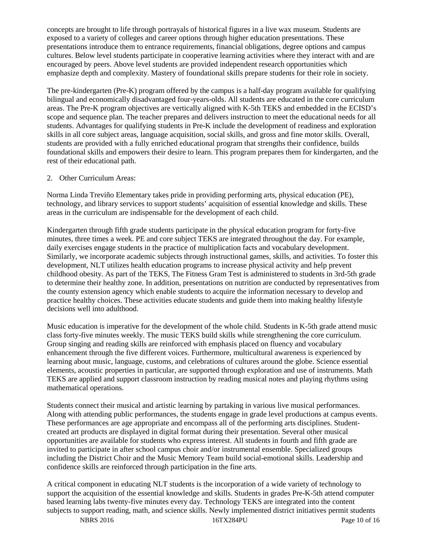concepts are brought to life through portrayals of historical figures in a live wax museum. Students are exposed to a variety of colleges and career options through higher education presentations. These presentations introduce them to entrance requirements, financial obligations, degree options and campus cultures. Below level students participate in cooperative learning activities where they interact with and are encouraged by peers. Above level students are provided independent research opportunities which emphasize depth and complexity. Mastery of foundational skills prepare students for their role in society.

The pre-kindergarten (Pre-K) program offered by the campus is a half-day program available for qualifying bilingual and economically disadvantaged four-years-olds. All students are educated in the core curriculum areas. The Pre-K program objectives are vertically aligned with K-5th TEKS and embedded in the ECISD's scope and sequence plan. The teacher prepares and delivers instruction to meet the educational needs for all students. Advantages for qualifying students in Pre-K include the development of readiness and exploration skills in all core subject areas, language acquisition, social skills, and gross and fine motor skills. Overall, students are provided with a fully enriched educational program that strengths their confidence, builds foundational skills and empowers their desire to learn. This program prepares them for kindergarten, and the rest of their educational path.

# 2. Other Curriculum Areas:

Norma Linda Treviño Elementary takes pride in providing performing arts, physical education (PE), technology, and library services to support students' acquisition of essential knowledge and skills. These areas in the curriculum are indispensable for the development of each child.

Kindergarten through fifth grade students participate in the physical education program for forty-five minutes, three times a week. PE and core subject TEKS are integrated throughout the day. For example, daily exercises engage students in the practice of multiplication facts and vocabulary development. Similarly, we incorporate academic subjects through instructional games, skills, and activities. To foster this development, NLT utilizes health education programs to increase physical activity and help prevent childhood obesity. As part of the TEKS, The Fitness Gram Test is administered to students in 3rd-5th grade to determine their healthy zone. In addition, presentations on nutrition are conducted by representatives from the county extension agency which enable students to acquire the information necessary to develop and practice healthy choices. These activities educate students and guide them into making healthy lifestyle decisions well into adulthood.

Music education is imperative for the development of the whole child. Students in K-5th grade attend music class forty-five minutes weekly. The music TEKS build skills while strengthening the core curriculum. Group singing and reading skills are reinforced with emphasis placed on fluency and vocabulary enhancement through the five different voices. Furthermore, multicultural awareness is experienced by learning about music, language, customs, and celebrations of cultures around the globe. Science essential elements, acoustic properties in particular, are supported through exploration and use of instruments. Math TEKS are applied and support classroom instruction by reading musical notes and playing rhythms using mathematical operations.

Students connect their musical and artistic learning by partaking in various live musical performances. Along with attending public performances, the students engage in grade level productions at campus events. These performances are age appropriate and encompass all of the performing arts disciplines. Studentcreated art products are displayed in digital format during their presentation. Several other musical opportunities are available for students who express interest. All students in fourth and fifth grade are invited to participate in after school campus choir and/or instrumental ensemble. Specialized groups including the District Choir and the Music Memory Team build social-emotional skills. Leadership and confidence skills are reinforced through participation in the fine arts.

A critical component in educating NLT students is the incorporation of a wide variety of technology to support the acquisition of the essential knowledge and skills. Students in grades Pre-K-5th attend computer based learning labs twenty-five minutes every day. Technology TEKS are integrated into the content subjects to support reading, math, and science skills. Newly implemented district initiatives permit students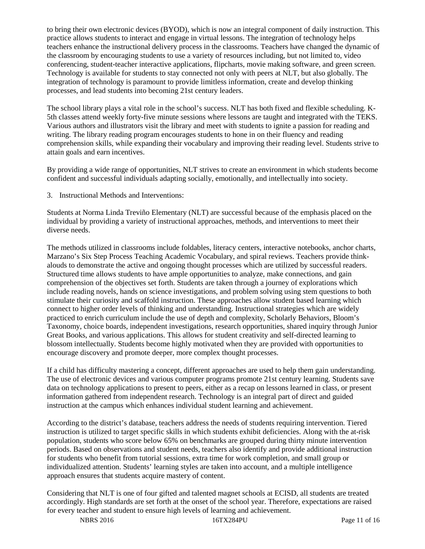to bring their own electronic devices (BYOD), which is now an integral component of daily instruction. This practice allows students to interact and engage in virtual lessons. The integration of technology helps teachers enhance the instructional delivery process in the classrooms. Teachers have changed the dynamic of the classroom by encouraging students to use a variety of resources including, but not limited to, video conferencing, student-teacher interactive applications, flipcharts, movie making software, and green screen. Technology is available for students to stay connected not only with peers at NLT, but also globally. The integration of technology is paramount to provide limitless information, create and develop thinking processes, and lead students into becoming 21st century leaders.

The school library plays a vital role in the school's success. NLT has both fixed and flexible scheduling. K-5th classes attend weekly forty-five minute sessions where lessons are taught and integrated with the TEKS. Various authors and illustrators visit the library and meet with students to ignite a passion for reading and writing. The library reading program encourages students to hone in on their fluency and reading comprehension skills, while expanding their vocabulary and improving their reading level. Students strive to attain goals and earn incentives.

By providing a wide range of opportunities, NLT strives to create an environment in which students become confident and successful individuals adapting socially, emotionally, and intellectually into society.

3. Instructional Methods and Interventions:

Students at Norma Linda Treviño Elementary (NLT) are successful because of the emphasis placed on the individual by providing a variety of instructional approaches, methods, and interventions to meet their diverse needs.

The methods utilized in classrooms include foldables, literacy centers, interactive notebooks, anchor charts, Marzano's Six Step Process Teaching Academic Vocabulary, and spiral reviews. Teachers provide thinkalouds to demonstrate the active and ongoing thought processes which are utilized by successful readers. Structured time allows students to have ample opportunities to analyze, make connections, and gain comprehension of the objectives set forth. Students are taken through a journey of explorations which include reading novels, hands on science investigations, and problem solving using stem questions to both stimulate their curiosity and scaffold instruction. These approaches allow student based learning which connect to higher order levels of thinking and understanding. Instructional strategies which are widely practiced to enrich curriculum include the use of depth and complexity, Scholarly Behaviors, Bloom's Taxonomy, choice boards, independent investigations, research opportunities, shared inquiry through Junior Great Books, and various applications. This allows for student creativity and self-directed learning to blossom intellectually. Students become highly motivated when they are provided with opportunities to encourage discovery and promote deeper, more complex thought processes.

If a child has difficulty mastering a concept, different approaches are used to help them gain understanding. The use of electronic devices and various computer programs promote 21st century learning. Students save data on technology applications to present to peers, either as a recap on lessons learned in class, or present information gathered from independent research. Technology is an integral part of direct and guided instruction at the campus which enhances individual student learning and achievement.

According to the district's database, teachers address the needs of students requiring intervention. Tiered instruction is utilized to target specific skills in which students exhibit deficiencies. Along with the at-risk population, students who score below 65% on benchmarks are grouped during thirty minute intervention periods. Based on observations and student needs, teachers also identify and provide additional instruction for students who benefit from tutorial sessions, extra time for work completion, and small group or individualized attention. Students' learning styles are taken into account, and a multiple intelligence approach ensures that students acquire mastery of content.

Considering that NLT is one of four gifted and talented magnet schools at ECISD, all students are treated accordingly. High standards are set forth at the onset of the school year. Therefore, expectations are raised for every teacher and student to ensure high levels of learning and achievement.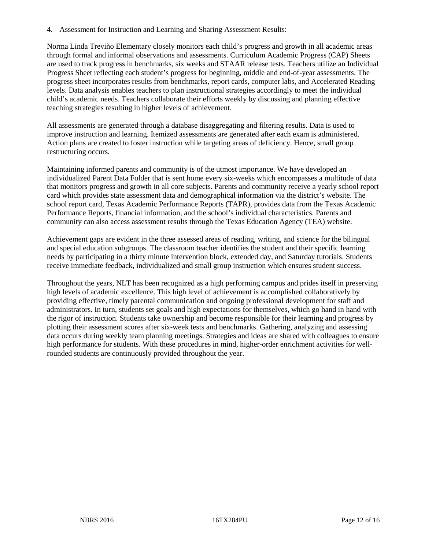4. Assessment for Instruction and Learning and Sharing Assessment Results:

Norma Linda Treviño Elementary closely monitors each child's progress and growth in all academic areas through formal and informal observations and assessments. Curriculum Academic Progress (CAP) Sheets are used to track progress in benchmarks, six weeks and STAAR release tests. Teachers utilize an Individual Progress Sheet reflecting each student's progress for beginning, middle and end-of-year assessments. The progress sheet incorporates results from benchmarks, report cards, computer labs, and Accelerated Reading levels. Data analysis enables teachers to plan instructional strategies accordingly to meet the individual child's academic needs. Teachers collaborate their efforts weekly by discussing and planning effective teaching strategies resulting in higher levels of achievement.

All assessments are generated through a database disaggregating and filtering results. Data is used to improve instruction and learning. Itemized assessments are generated after each exam is administered. Action plans are created to foster instruction while targeting areas of deficiency. Hence, small group restructuring occurs.

Maintaining informed parents and community is of the utmost importance. We have developed an individualized Parent Data Folder that is sent home every six-weeks which encompasses a multitude of data that monitors progress and growth in all core subjects. Parents and community receive a yearly school report card which provides state assessment data and demographical information via the district's website. The school report card, Texas Academic Performance Reports (TAPR), provides data from the Texas Academic Performance Reports, financial information, and the school's individual characteristics. Parents and community can also access assessment results through the Texas Education Agency (TEA) website.

Achievement gaps are evident in the three assessed areas of reading, writing, and science for the bilingual and special education subgroups. The classroom teacher identifies the student and their specific learning needs by participating in a thirty minute intervention block, extended day, and Saturday tutorials. Students receive immediate feedback, individualized and small group instruction which ensures student success.

Throughout the years, NLT has been recognized as a high performing campus and prides itself in preserving high levels of academic excellence. This high level of achievement is accomplished collaboratively by providing effective, timely parental communication and ongoing professional development for staff and administrators. In turn, students set goals and high expectations for themselves, which go hand in hand with the rigor of instruction. Students take ownership and become responsible for their learning and progress by plotting their assessment scores after six-week tests and benchmarks. Gathering, analyzing and assessing data occurs during weekly team planning meetings. Strategies and ideas are shared with colleagues to ensure high performance for students. With these procedures in mind, higher-order enrichment activities for wellrounded students are continuously provided throughout the year.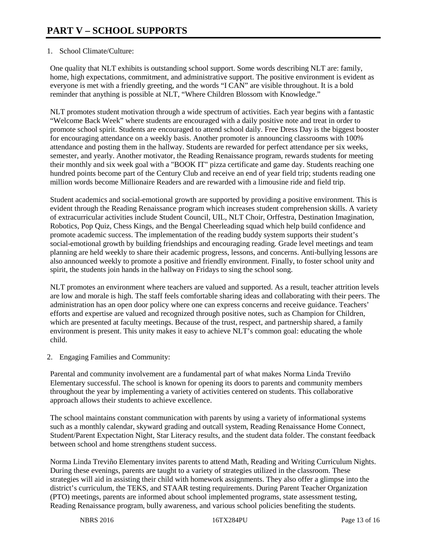# 1. School Climate/Culture:

One quality that NLT exhibits is outstanding school support. Some words describing NLT are: family, home, high expectations, commitment, and administrative support. The positive environment is evident as everyone is met with a friendly greeting, and the words "I CAN" are visible throughout. It is a bold reminder that anything is possible at NLT, "Where Children Blossom with Knowledge."

NLT promotes student motivation through a wide spectrum of activities. Each year begins with a fantastic "Welcome Back Week" where students are encouraged with a daily positive note and treat in order to promote school spirit. Students are encouraged to attend school daily. Free Dress Day is the biggest booster for encouraging attendance on a weekly basis. Another promoter is announcing classrooms with 100% attendance and posting them in the hallway. Students are rewarded for perfect attendance per six weeks, semester, and yearly. Another motivator, the Reading Renaissance program, rewards students for meeting their monthly and six week goal with a "BOOK IT" pizza certificate and game day. Students reaching one hundred points become part of the Century Club and receive an end of year field trip; students reading one million words become Millionaire Readers and are rewarded with a limousine ride and field trip.

Student academics and social-emotional growth are supported by providing a positive environment. This is evident through the Reading Renaissance program which increases student comprehension skills. A variety of extracurricular activities include Student Council, UIL, NLT Choir, Orffestra, Destination Imagination, Robotics, Pop Quiz, Chess Kings, and the Bengal Cheerleading squad which help build confidence and promote academic success. The implementation of the reading buddy system supports their student's social-emotional growth by building friendships and encouraging reading. Grade level meetings and team planning are held weekly to share their academic progress, lessons, and concerns. Anti-bullying lessons are also announced weekly to promote a positive and friendly environment. Finally, to foster school unity and spirit, the students join hands in the hallway on Fridays to sing the school song.

NLT promotes an environment where teachers are valued and supported. As a result, teacher attrition levels are low and morale is high. The staff feels comfortable sharing ideas and collaborating with their peers. The administration has an open door policy where one can express concerns and receive guidance. Teachers' efforts and expertise are valued and recognized through positive notes, such as Champion for Children, which are presented at faculty meetings. Because of the trust, respect, and partnership shared, a family environment is present. This unity makes it easy to achieve NLT's common goal: educating the whole child.

2. Engaging Families and Community:

Parental and community involvement are a fundamental part of what makes Norma Linda Treviño Elementary successful. The school is known for opening its doors to parents and community members throughout the year by implementing a variety of activities centered on students. This collaborative approach allows their students to achieve excellence.

The school maintains constant communication with parents by using a variety of informational systems such as a monthly calendar, skyward grading and outcall system, Reading Renaissance Home Connect, Student/Parent Expectation Night, Star Literacy results, and the student data folder. The constant feedback between school and home strengthens student success.

Norma Linda Treviño Elementary invites parents to attend Math, Reading and Writing Curriculum Nights. During these evenings, parents are taught to a variety of strategies utilized in the classroom. These strategies will aid in assisting their child with homework assignments. They also offer a glimpse into the district's curriculum, the TEKS, and STAAR testing requirements. During Parent Teacher Organization (PTO) meetings, parents are informed about school implemented programs, state assessment testing, Reading Renaissance program, bully awareness, and various school policies benefiting the students.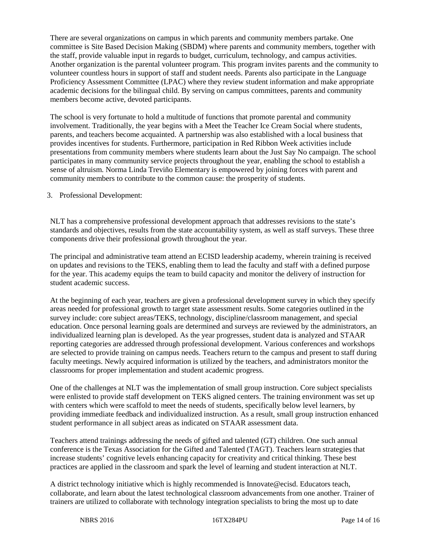There are several organizations on campus in which parents and community members partake. One committee is Site Based Decision Making (SBDM) where parents and community members, together with the staff, provide valuable input in regards to budget, curriculum, technology, and campus activities. Another organization is the parental volunteer program. This program invites parents and the community to volunteer countless hours in support of staff and student needs. Parents also participate in the Language Proficiency Assessment Committee (LPAC) where they review student information and make appropriate academic decisions for the bilingual child. By serving on campus committees, parents and community members become active, devoted participants.

The school is very fortunate to hold a multitude of functions that promote parental and community involvement. Traditionally, the year begins with a Meet the Teacher Ice Cream Social where students, parents, and teachers become acquainted. A partnership was also established with a local business that provides incentives for students. Furthermore, participation in Red Ribbon Week activities include presentations from community members where students learn about the Just Say No campaign. The school participates in many community service projects throughout the year, enabling the school to establish a sense of altruism. Norma Linda Treviño Elementary is empowered by joining forces with parent and community members to contribute to the common cause: the prosperity of students.

# 3. Professional Development:

NLT has a comprehensive professional development approach that addresses revisions to the state's standards and objectives, results from the state accountability system, as well as staff surveys. These three components drive their professional growth throughout the year.

The principal and administrative team attend an ECISD leadership academy, wherein training is received on updates and revisions to the TEKS, enabling them to lead the faculty and staff with a defined purpose for the year. This academy equips the team to build capacity and monitor the delivery of instruction for student academic success.

At the beginning of each year, teachers are given a professional development survey in which they specify areas needed for professional growth to target state assessment results. Some categories outlined in the survey include: core subject areas/TEKS, technology, discipline/classroom management, and special education. Once personal learning goals are determined and surveys are reviewed by the administrators, an individualized learning plan is developed. As the year progresses, student data is analyzed and STAAR reporting categories are addressed through professional development. Various conferences and workshops are selected to provide training on campus needs. Teachers return to the campus and present to staff during faculty meetings. Newly acquired information is utilized by the teachers, and administrators monitor the classrooms for proper implementation and student academic progress.

One of the challenges at NLT was the implementation of small group instruction. Core subject specialists were enlisted to provide staff development on TEKS aligned centers. The training environment was set up with centers which were scaffold to meet the needs of students, specifically below level learners, by providing immediate feedback and individualized instruction. As a result, small group instruction enhanced student performance in all subject areas as indicated on STAAR assessment data.

Teachers attend trainings addressing the needs of gifted and talented (GT) children. One such annual conference is the Texas Association for the Gifted and Talented (TAGT). Teachers learn strategies that increase students' cognitive levels enhancing capacity for creativity and critical thinking. These best practices are applied in the classroom and spark the level of learning and student interaction at NLT.

A district technology initiative which is highly recommended is Innovate@ecisd. Educators teach, collaborate, and learn about the latest technological classroom advancements from one another. Trainer of trainers are utilized to collaborate with technology integration specialists to bring the most up to date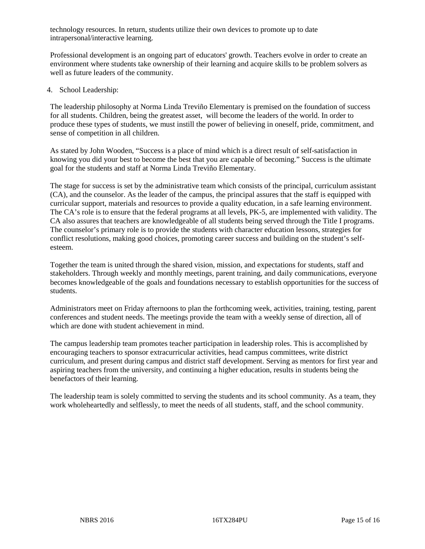technology resources. In return, students utilize their own devices to promote up to date intrapersonal/interactive learning.

Professional development is an ongoing part of educators' growth. Teachers evolve in order to create an environment where students take ownership of their learning and acquire skills to be problem solvers as well as future leaders of the community.

### 4. School Leadership:

The leadership philosophy at Norma Linda Treviño Elementary is premised on the foundation of success for all students. Children, being the greatest asset, will become the leaders of the world. In order to produce these types of students, we must instill the power of believing in oneself, pride, commitment, and sense of competition in all children.

As stated by John Wooden, "Success is a place of mind which is a direct result of self-satisfaction in knowing you did your best to become the best that you are capable of becoming." Success is the ultimate goal for the students and staff at Norma Linda Treviño Elementary.

The stage for success is set by the administrative team which consists of the principal, curriculum assistant (CA), and the counselor. As the leader of the campus, the principal assures that the staff is equipped with curricular support, materials and resources to provide a quality education, in a safe learning environment. The CA's role is to ensure that the federal programs at all levels, PK-5, are implemented with validity. The CA also assures that teachers are knowledgeable of all students being served through the Title I programs. The counselor's primary role is to provide the students with character education lessons, strategies for conflict resolutions, making good choices, promoting career success and building on the student's selfesteem.

Together the team is united through the shared vision, mission, and expectations for students, staff and stakeholders. Through weekly and monthly meetings, parent training, and daily communications, everyone becomes knowledgeable of the goals and foundations necessary to establish opportunities for the success of students.

Administrators meet on Friday afternoons to plan the forthcoming week, activities, training, testing, parent conferences and student needs. The meetings provide the team with a weekly sense of direction, all of which are done with student achievement in mind.

The campus leadership team promotes teacher participation in leadership roles. This is accomplished by encouraging teachers to sponsor extracurricular activities, head campus committees, write district curriculum, and present during campus and district staff development. Serving as mentors for first year and aspiring teachers from the university, and continuing a higher education, results in students being the benefactors of their learning.

The leadership team is solely committed to serving the students and its school community. As a team, they work wholeheartedly and selflessly, to meet the needs of all students, staff, and the school community.